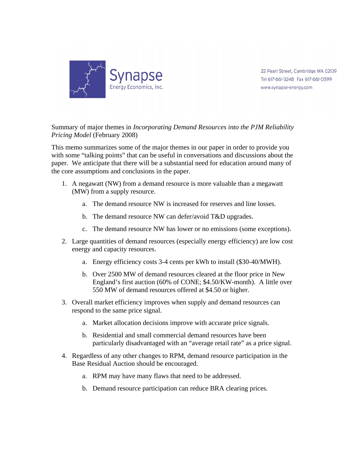

22 Pearl Street, Cambridge MA 02139 Tel 617-661-3248 Fax 617-661-0599 www.synapse-energy.com

Summary of major themes in *Incorporating Demand Resources into the PJM Reliability Pricing Model* (February 2008)

This memo summarizes some of the major themes in our paper in order to provide you with some "talking points" that can be useful in conversations and discussions about the paper. We anticipate that there will be a substantial need for education around many of the core assumptions and conclusions in the paper.

- 1. A negawatt (NW) from a demand resource is more valuable than a megawatt (MW) from a supply resource.
	- a. The demand resource NW is increased for reserves and line losses.
	- b. The demand resource NW can defer/avoid T&D upgrades.
	- c. The demand resource NW has lower or no emissions (some exceptions).
- 2. Large quantities of demand resources (especially energy efficiency) are low cost energy and capacity resources.
	- a. Energy efficiency costs 3-4 cents per kWh to install (\$30-40/MWH).
	- b. Over 2500 MW of demand resources cleared at the floor price in New England's first auction (60% of CONE; \$4.50/KW-month). A little over 550 MW of demand resources offered at \$4.50 or higher.
- 3. Overall market efficiency improves when supply and demand resources can respond to the same price signal.
	- a. Market allocation decisions improve with accurate price signals.
	- b. Residential and small commercial demand resources have been particularly disadvantaged with an "average retail rate" as a price signal.
- 4. Regardless of any other changes to RPM, demand resource participation in the Base Residual Auction should be encouraged.
	- a. RPM may have many flaws that need to be addressed.
	- b. Demand resource participation can reduce BRA clearing prices.